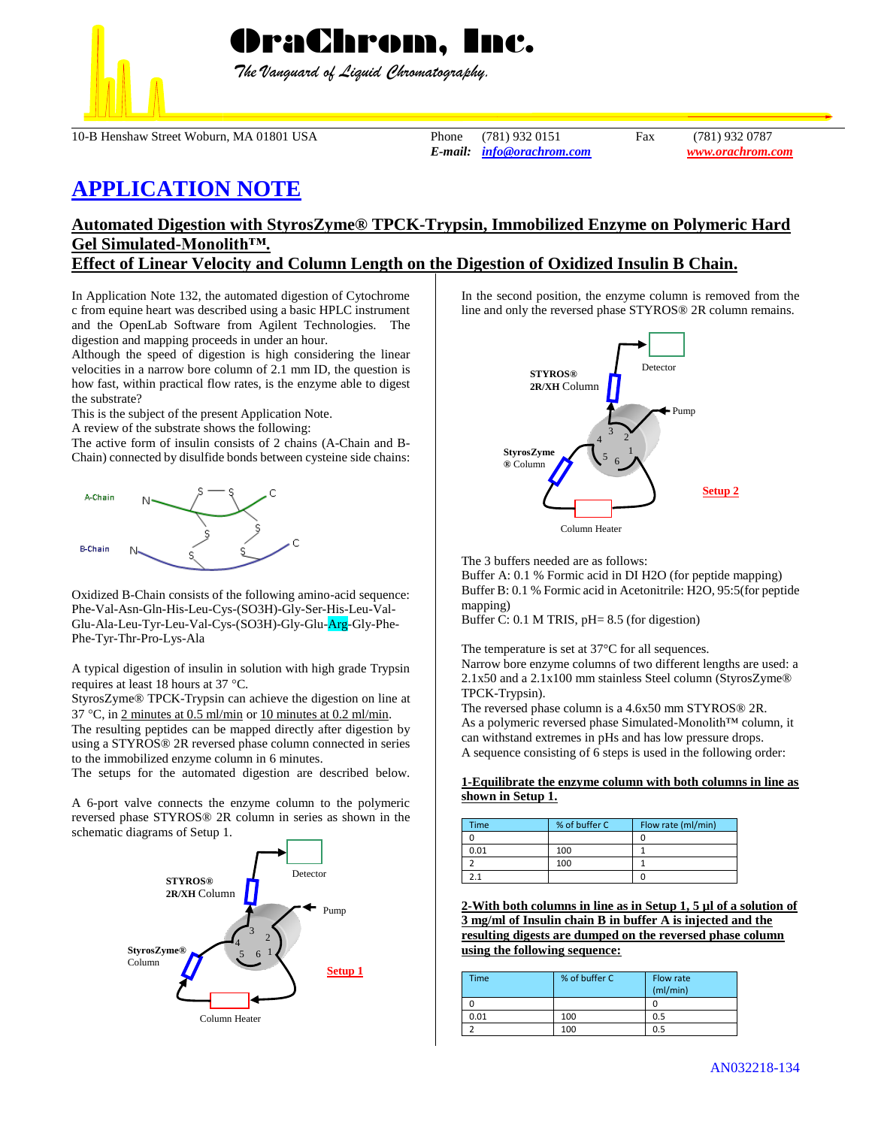

 *The Vanguard of Liquid Chromatography.*

10-B Henshaw Street Woburn, MA 01801 USA Phone (781) 932 0151 Fax (781) 932 0787

*E-mail: [info@orachrom.com](mailto:info@orachrom.com) www.orachrom.com*

# **APPLICATION NOTE**

## **Automated Digestion with StyrosZyme® TPCK-Trypsin, Immobilized Enzyme on Polymeric Hard Gel Simulated-Monolith™.**

### **Effect of Linear Velocity and Column Length on the Digestion of Oxidized Insulin B Chain.**

In Application Note 132, the automated digestion of Cytochrome c from equine heart was described using a basic HPLC instrument and the OpenLab Software from Agilent Technologies. The digestion and mapping proceeds in under an hour.

Although the speed of digestion is high considering the linear velocities in a narrow bore column of 2.1 mm ID, the question is how fast, within practical flow rates, is the enzyme able to digest the substrate?

This is the subject of the present Application Note.

A review of the substrate shows the following:

The active form of insulin consists of 2 chains (A-Chain and B-Chain) connected by disulfide bonds between cysteine side chains:



Oxidized B-Chain consists of the following amino-acid sequence: Phe-Val-Asn-Gln-His-Leu-Cys-(SO3H)-Gly-Ser-His-Leu-Val-Glu-Ala-Leu-Tyr-Leu-Val-Cys-(SO3H)-Gly-Glu-Arg-Gly-Phe-Phe-Tyr-Thr-Pro-Lys-Ala

A typical digestion of insulin in solution with high grade Trypsin requires at least 18 hours at 37 °C.

StyrosZyme® TPCK-Trypsin can achieve the digestion on line at 37 °C, in 2 minutes at 0.5 ml/min or 10 minutes at 0.2 ml/min. The resulting peptides can be mapped directly after digestion by

using a STYROS® 2R reversed phase column connected in series to the immobilized enzyme column in 6 minutes.

The setups for the automated digestion are described below.

A 6-port valve connects the enzyme column to the polymeric reversed phase STYROS® 2R column in series as shown in the schematic diagrams of Setup 1.



In the second position, the enzyme column is removed from the line and only the reversed phase STYROS® 2R column remains.



The 3 buffers needed are as follows:

Buffer A: 0.1 % Formic acid in DI H2O (for peptide mapping) Buffer B: 0.1 % Formic acid in Acetonitrile: H2O, 95:5(for peptide mapping)

Buffer C: 0.1 M TRIS, pH= 8.5 (for digestion)

The temperature is set at 37°C for all sequences. Narrow bore enzyme columns of two different lengths are used: a 2.1x50 and a 2.1x100 mm stainless Steel column (StyrosZyme® TPCK-Trypsin).

The reversed phase column is a 4.6x50 mm STYROS® 2R. As a polymeric reversed phase Simulated-Monolith™ column, it can withstand extremes in pHs and has low pressure drops. A sequence consisting of 6 steps is used in the following order:

#### **1-Equilibrate the enzyme column with both columns in line as shown in Setup 1.**

| <b>Time</b> | % of buffer C | Flow rate (ml/min) |
|-------------|---------------|--------------------|
|             |               |                    |
| 0.01        | 100           |                    |
|             | 100           |                    |
|             |               |                    |

**2-With both columns in line as in Setup 1, 5 µl of a solution of 3 mg/ml of Insulin chain B in buffer A is injected and the resulting digests are dumped on the reversed phase column using the following sequence:**

| <b>Time</b> | % of buffer C | Flow rate<br>(mI/min) |
|-------------|---------------|-----------------------|
|             |               |                       |
| 0.01        | 100           | 0.5                   |
|             | 100           | 0.5                   |